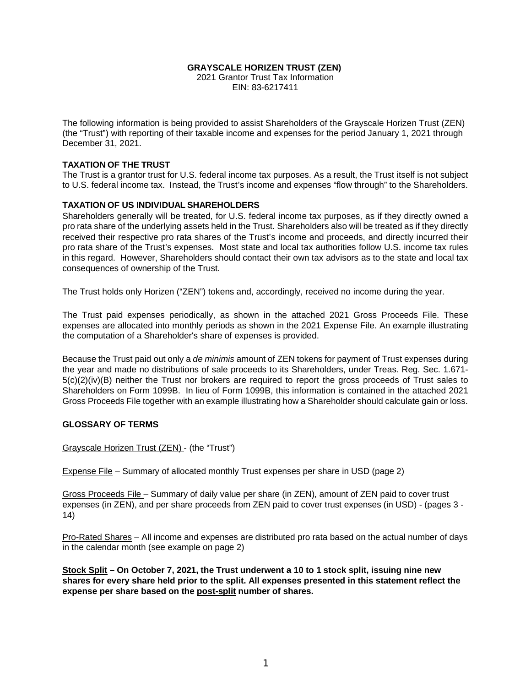#### **GRAYSCALE HORIZEN TRUST (ZEN)**

2021 Grantor Trust Tax Information EIN: 83-6217411

The following information is being provided to assist Shareholders of the Grayscale Horizen Trust (ZEN) (the "Trust") with reporting of their taxable income and expenses for the period January 1, 2021 through December 31, 2021.

#### **TAXATION OF THE TRUST**

The Trust is a grantor trust for U.S. federal income tax purposes. As a result, the Trust itself is not subject to U.S. federal income tax. Instead, the Trust's income and expenses "flow through" to the Shareholders.

#### **TAXATION OF US INDIVIDUAL SHAREHOLDERS**

Shareholders generally will be treated, for U.S. federal income tax purposes, as if they directly owned a pro rata share of the underlying assets held in the Trust. Shareholders also will be treated as if they directly received their respective pro rata shares of the Trust's income and proceeds, and directly incurred their pro rata share of the Trust's expenses. Most state and local tax authorities follow U.S. income tax rules in this regard. However, Shareholders should contact their own tax advisors as to the state and local tax consequences of ownership of the Trust.

The Trust holds only Horizen ("ZEN") tokens and, accordingly, received no income during the year.

The Trust paid expenses periodically, as shown in the attached 2021 Gross Proceeds File. These expenses are allocated into monthly periods as shown in the 2021 Expense File. An example illustrating the computation of a Shareholder's share of expenses is provided.

Because the Trust paid out only a *de minimis* amount of ZEN tokens for payment of Trust expenses during the year and made no distributions of sale proceeds to its Shareholders, under Treas. Reg. Sec. 1.671- 5(c)(2)(iv)(B) neither the Trust nor brokers are required to report the gross proceeds of Trust sales to Shareholders on Form 1099B. In lieu of Form 1099B, this information is contained in the attached 2021 Gross Proceeds File together with an example illustrating how a Shareholder should calculate gain or loss.

#### **GLOSSARY OF TERMS**

Grayscale Horizen Trust (ZEN) - (the "Trust")

Expense File – Summary of allocated monthly Trust expenses per share in USD (page 2)

Gross Proceeds File – Summary of daily value per share (in ZEN), amount of ZEN paid to cover trust expenses (in ZEN), and per share proceeds from ZEN paid to cover trust expenses (in USD) - (pages 3 - 14)

Pro-Rated Shares – All income and expenses are distributed pro rata based on the actual number of days in the calendar month (see example on page 2)

**Stock Split – On October 7, 2021, the Trust underwent a 10 to 1 stock split, issuing nine new shares for every share held prior to the split. All expenses presented in this statement reflect the expense per share based on the post-split number of shares.**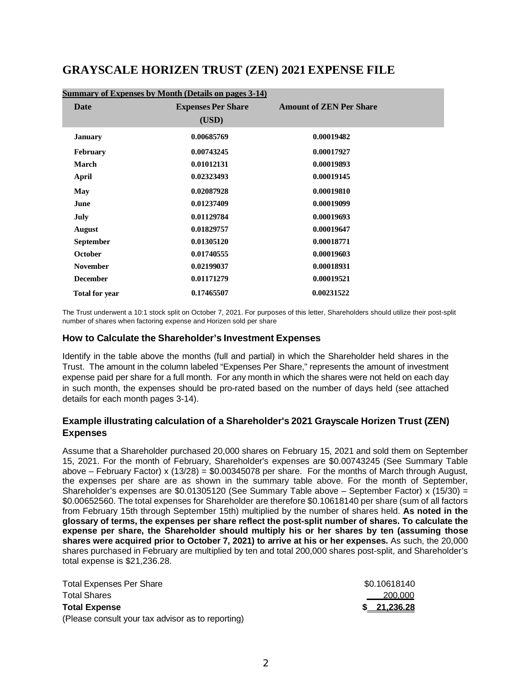# **GRAYSCALE HORIZEN TRUST (ZEN) 2021 EXPENSE FILE**

| Summary of Expenses by Month (Details on pages 3-14) |                           |                                |  |  |
|------------------------------------------------------|---------------------------|--------------------------------|--|--|
| <b>Date</b>                                          | <b>Expenses Per Share</b> | <b>Amount of ZEN Per Share</b> |  |  |
|                                                      | (USD)                     |                                |  |  |
| <b>January</b>                                       | 0.00685769                | 0.00019482                     |  |  |
| <b>February</b>                                      | 0.00743245                | 0.00017927                     |  |  |
| March                                                | 0.01012131                | 0.00019893                     |  |  |
| April                                                | 0.02323493                | 0.00019145                     |  |  |
| May                                                  | 0.02087928                | 0.00019810                     |  |  |
| June                                                 | 0.01237409                | 0.00019099                     |  |  |
| July                                                 | 0.01129784                | 0.00019693                     |  |  |
| <b>August</b>                                        | 0.01829757                | 0.00019647                     |  |  |
| <b>September</b>                                     | 0.01305120                | 0.00018771                     |  |  |
| October                                              | 0.01740555                | 0.00019603                     |  |  |
| <b>November</b>                                      | 0.02199037                | 0.00018931                     |  |  |
| <b>December</b>                                      | 0.01171279                | 0.00019521                     |  |  |
| <b>Total for year</b>                                | 0.17465507                | 0.00231522                     |  |  |

The Trust underwent a 10:1 stock split on October 7, 2021. For purposes of this letter, Shareholders should utilize their post-split number of shares when factoring expense and Horizen sold per share

### **How to Calculate the Shareholder's Investment Expenses**

Identify in the table above the months (full and partial) in which the Shareholder held shares in the Trust. The amount in the column labeled "Expenses Per Share," represents the amount of investment expense paid per share for a full month. For any month in which the shares were not held on each day in such month, the expenses should be pro-rated based on the number of days held (see attached details for each month pages 3-14).

### **Example illustrating calculation of a Shareholder's 2021 Grayscale Horizen Trust (ZEN) Expenses**

Assume that a Shareholder purchased 20,000 shares on February 15, 2021 and sold them on September 15, 2021. For the month of February, Shareholder's expenses are \$0.00743245 (See Summary Table above – February Factor) x (13/28) = \$0.00345078 per share. For the months of March through August, the expenses per share are as shown in the summary table above. For the month of September, Shareholder's expenses are \$0.01305120 (See Summary Table above – September Factor) x (15/30) = \$0.00652560. The total expenses for Shareholder are therefore \$0.10618140 per share (sum of all factors from February 15th through September 15th) multiplied by the number of shares held. **As noted in the glossary of terms, the expenses per share reflect the post-split number of shares. To calculate the expense per share, the Shareholder should multiply his or her shares by ten (assuming those shares were acquired prior to October 7, 2021) to arrive at his or her expenses.** As such, the 20,000 shares purchased in February are multiplied by ten and total 200,000 shares post-split, and Shareholder's total expense is \$21,236.28.

| <b>Total Expenses Per Share</b>                   | \$0.10618140 |
|---------------------------------------------------|--------------|
| <b>Total Shares</b>                               | 200,000      |
| <b>Total Expense</b>                              | \$21,236.28  |
| (Please consult your tax advisor as to reporting) |              |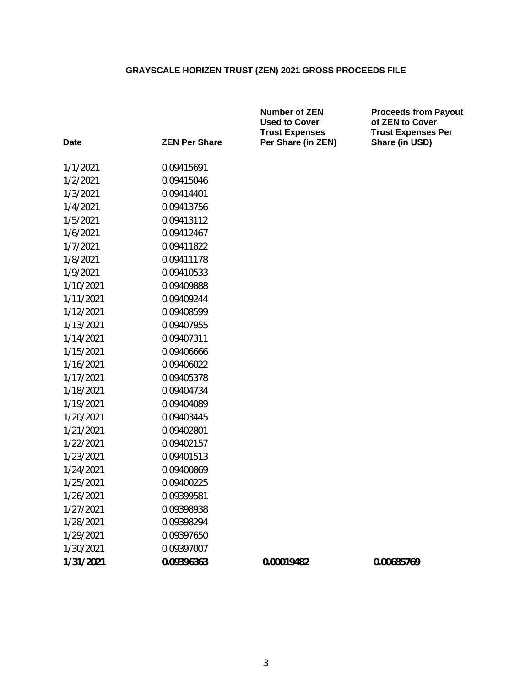| Date      | <b>ZEN Per Share</b> | <b>Number of ZEN</b><br><b>Used to Cover</b><br><b>Trust Expenses</b><br>Per Share (in ZEN) | <b>Proceeds from Payout</b><br>of ZEN to Cover<br><b>Trust Expenses Per</b><br>Share (in USD) |
|-----------|----------------------|---------------------------------------------------------------------------------------------|-----------------------------------------------------------------------------------------------|
| 1/1/2021  | 0.09415691           |                                                                                             |                                                                                               |
| 1/2/2021  | 0.09415046           |                                                                                             |                                                                                               |
| 1/3/2021  | 0.09414401           |                                                                                             |                                                                                               |
| 1/4/2021  | 0.09413756           |                                                                                             |                                                                                               |
| 1/5/2021  | 0.09413112           |                                                                                             |                                                                                               |
| 1/6/2021  | 0.09412467           |                                                                                             |                                                                                               |
| 1/7/2021  | 0.09411822           |                                                                                             |                                                                                               |
| 1/8/2021  | 0.09411178           |                                                                                             |                                                                                               |
| 1/9/2021  | 0.09410533           |                                                                                             |                                                                                               |
| 1/10/2021 | 0.09409888           |                                                                                             |                                                                                               |
| 1/11/2021 | 0.09409244           |                                                                                             |                                                                                               |
| 1/12/2021 | 0.09408599           |                                                                                             |                                                                                               |
| 1/13/2021 | 0.09407955           |                                                                                             |                                                                                               |
| 1/14/2021 | 0.09407311           |                                                                                             |                                                                                               |
| 1/15/2021 | 0.09406666           |                                                                                             |                                                                                               |
| 1/16/2021 | 0.09406022           |                                                                                             |                                                                                               |
| 1/17/2021 | 0.09405378           |                                                                                             |                                                                                               |
| 1/18/2021 | 0.09404734           |                                                                                             |                                                                                               |
| 1/19/2021 | 0.09404089           |                                                                                             |                                                                                               |
| 1/20/2021 | 0.09403445           |                                                                                             |                                                                                               |
| 1/21/2021 | 0.09402801           |                                                                                             |                                                                                               |
| 1/22/2021 | 0.09402157           |                                                                                             |                                                                                               |
| 1/23/2021 | 0.09401513           |                                                                                             |                                                                                               |
| 1/24/2021 | 0.09400869           |                                                                                             |                                                                                               |
| 1/25/2021 | 0.09400225           |                                                                                             |                                                                                               |
| 1/26/2021 | 0.09399581           |                                                                                             |                                                                                               |
| 1/27/2021 | 0.09398938           |                                                                                             |                                                                                               |
| 1/28/2021 | 0.09398294           |                                                                                             |                                                                                               |
| 1/29/2021 | 0.09397650           |                                                                                             |                                                                                               |
| 1/30/2021 | 0.09397007           |                                                                                             |                                                                                               |
| 1/31/2021 | 0.09396363           | 0.00019482                                                                                  | 0.00685769                                                                                    |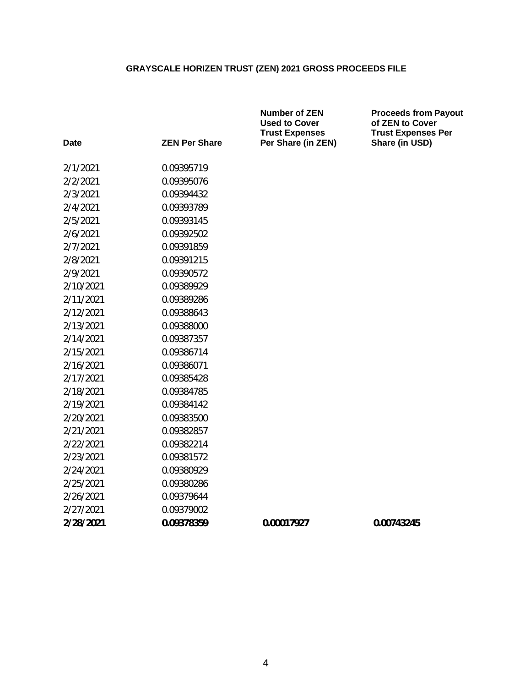|           |                      | <b>Number of ZEN</b><br><b>Used to Cover</b><br><b>Trust Expenses</b> | <b>Proceeds from Payout</b><br>of ZEN to Cover<br><b>Trust Expenses Per</b> |
|-----------|----------------------|-----------------------------------------------------------------------|-----------------------------------------------------------------------------|
| Date      | <b>ZEN Per Share</b> | Per Share (in ZEN)                                                    | Share (in USD)                                                              |
| 2/1/2021  | 0.09395719           |                                                                       |                                                                             |
| 2/2/2021  | 0.09395076           |                                                                       |                                                                             |
| 2/3/2021  | 0.09394432           |                                                                       |                                                                             |
| 2/4/2021  | 0.09393789           |                                                                       |                                                                             |
| 2/5/2021  | 0.09393145           |                                                                       |                                                                             |
| 2/6/2021  | 0.09392502           |                                                                       |                                                                             |
| 2/7/2021  | 0.09391859           |                                                                       |                                                                             |
| 2/8/2021  | 0.09391215           |                                                                       |                                                                             |
| 2/9/2021  | 0.09390572           |                                                                       |                                                                             |
| 2/10/2021 | 0.09389929           |                                                                       |                                                                             |
| 2/11/2021 | 0.09389286           |                                                                       |                                                                             |
| 2/12/2021 | 0.09388643           |                                                                       |                                                                             |
| 2/13/2021 | 0.09388000           |                                                                       |                                                                             |
| 2/14/2021 | 0.09387357           |                                                                       |                                                                             |
| 2/15/2021 | 0.09386714           |                                                                       |                                                                             |
| 2/16/2021 | 0.09386071           |                                                                       |                                                                             |
| 2/17/2021 | 0.09385428           |                                                                       |                                                                             |
| 2/18/2021 | 0.09384785           |                                                                       |                                                                             |
| 2/19/2021 | 0.09384142           |                                                                       |                                                                             |
| 2/20/2021 | 0.09383500           |                                                                       |                                                                             |
| 2/21/2021 | 0.09382857           |                                                                       |                                                                             |
| 2/22/2021 | 0.09382214           |                                                                       |                                                                             |
| 2/23/2021 | 0.09381572           |                                                                       |                                                                             |
| 2/24/2021 | 0.09380929           |                                                                       |                                                                             |
| 2/25/2021 | 0.09380286           |                                                                       |                                                                             |
| 2/26/2021 | 0.09379644           |                                                                       |                                                                             |
| 2/27/2021 | 0.09379002           |                                                                       |                                                                             |
| 2/28/2021 | 0.09378359           | 0.00017927                                                            | 0.00743245                                                                  |
|           |                      |                                                                       |                                                                             |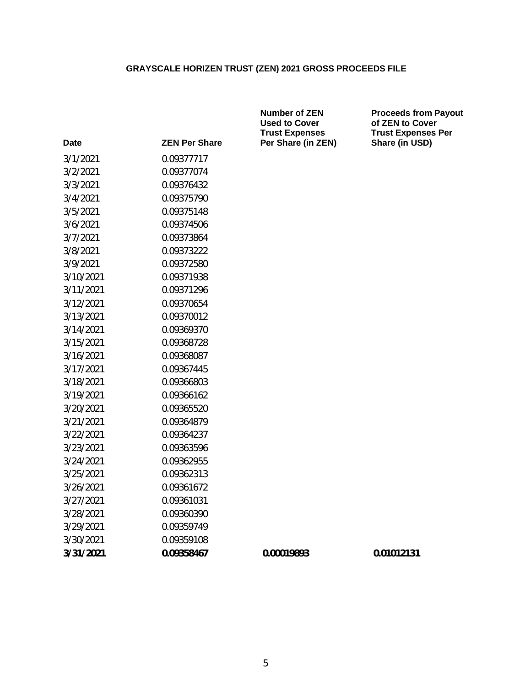| Date      | <b>ZEN Per Share</b> |
|-----------|----------------------|
| 3/1/2021  | 0.09377717           |
| 3/2/2021  | 0.09377074           |
| 3/3/2021  | 0.09376432           |
| 3/4/2021  | 0.09375790           |
| 3/5/2021  | 0.09375148           |
| 3/6/2021  | 0.09374506           |
| 3/7/2021  | 0.09373864           |
| 3/8/2021  | 0.09373222           |
| 3/9/2021  | 0.09372580           |
| 3/10/2021 | 0.09371938           |
| 3/11/2021 | 0.09371296           |
| 3/12/2021 | 0.09370654           |
| 3/13/2021 | 0.09370012           |
| 3/14/2021 | 0.09369370           |
| 3/15/2021 | 0.09368728           |
| 3/16/2021 | 0.09368087           |
| 3/17/2021 | 0.09367445           |
| 3/18/2021 | 0.09366803           |
| 3/19/2021 | 0.09366162           |
| 3/20/2021 | 0.09365520           |
| 3/21/2021 | 0.09364879           |
| 3/22/2021 | 0.09364237           |
| 3/23/2021 | 0.09363596           |
| 3/24/2021 | 0.09362955           |
| 3/25/2021 | 0.09362313           |
| 3/26/2021 | 0.09361672           |
| 3/27/2021 | 0.09361031           |
| 3/28/2021 | 0.09360390           |
| 3/29/2021 | 0.09359749           |
| 3/30/2021 | 0.09359108           |
| 3/31/2021 | 0.09358467           |

**Number of ZEN Used to Cover Trust Expenses Per Share (in ZEN)** **Proceeds from Payout of ZEN to Cover Trust Expenses Per Share (in USD)**

**3/31/2021 0.09358467 0.00019893 0.01012131**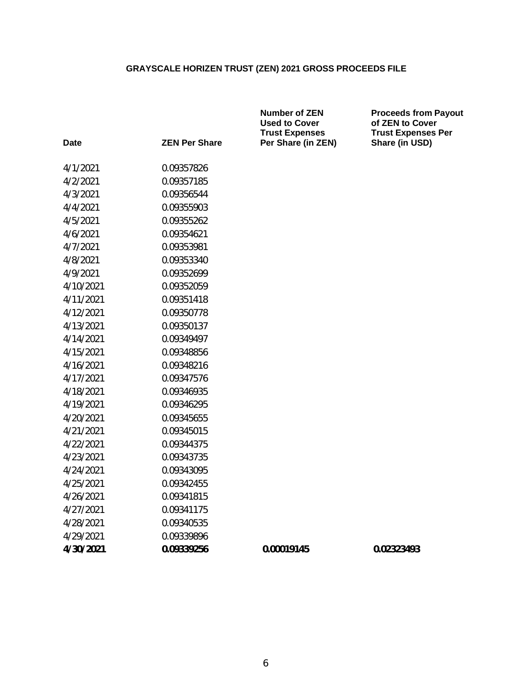|           |                      | <b>Number of ZEN</b><br><b>Used to Cover</b><br><b>Trust Expenses</b> | <b>Proceeds from Payout</b><br>of ZEN to Cover<br><b>Trust Expenses Per</b> |
|-----------|----------------------|-----------------------------------------------------------------------|-----------------------------------------------------------------------------|
| Date      | <b>ZEN Per Share</b> | Per Share (in ZEN)                                                    | Share (in USD)                                                              |
| 4/1/2021  | 0.09357826           |                                                                       |                                                                             |
| 4/2/2021  | 0.09357185           |                                                                       |                                                                             |
| 4/3/2021  | 0.09356544           |                                                                       |                                                                             |
| 4/4/2021  | 0.09355903           |                                                                       |                                                                             |
| 4/5/2021  | 0.09355262           |                                                                       |                                                                             |
| 4/6/2021  | 0.09354621           |                                                                       |                                                                             |
| 4/7/2021  | 0.09353981           |                                                                       |                                                                             |
| 4/8/2021  | 0.09353340           |                                                                       |                                                                             |
| 4/9/2021  | 0.09352699           |                                                                       |                                                                             |
| 4/10/2021 | 0.09352059           |                                                                       |                                                                             |
| 4/11/2021 | 0.09351418           |                                                                       |                                                                             |
| 4/12/2021 | 0.09350778           |                                                                       |                                                                             |
| 4/13/2021 | 0.09350137           |                                                                       |                                                                             |
| 4/14/2021 | 0.09349497           |                                                                       |                                                                             |
| 4/15/2021 | 0.09348856           |                                                                       |                                                                             |
| 4/16/2021 | 0.09348216           |                                                                       |                                                                             |
| 4/17/2021 | 0.09347576           |                                                                       |                                                                             |
| 4/18/2021 | 0.09346935           |                                                                       |                                                                             |
| 4/19/2021 | 0.09346295           |                                                                       |                                                                             |
| 4/20/2021 | 0.09345655           |                                                                       |                                                                             |
| 4/21/2021 | 0.09345015           |                                                                       |                                                                             |
| 4/22/2021 | 0.09344375           |                                                                       |                                                                             |
| 4/23/2021 | 0.09343735           |                                                                       |                                                                             |
| 4/24/2021 | 0.09343095           |                                                                       |                                                                             |
| 4/25/2021 | 0.09342455           |                                                                       |                                                                             |
| 4/26/2021 | 0.09341815           |                                                                       |                                                                             |
| 4/27/2021 | 0.09341175           |                                                                       |                                                                             |
| 4/28/2021 | 0.09340535           |                                                                       |                                                                             |
| 4/29/2021 | 0.09339896           |                                                                       |                                                                             |
| 4/30/2021 | 0.09339256           | 0.00019145                                                            | 0.02323493                                                                  |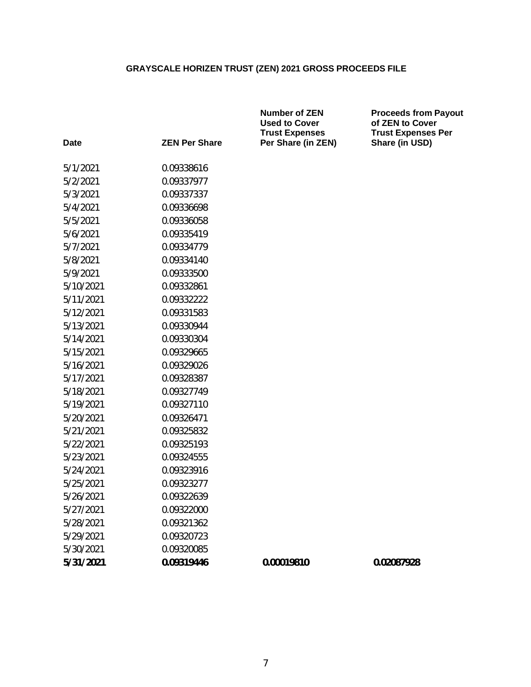| Date      | <b>ZEN Per Share</b> | <b>Number of ZEN</b><br><b>Used to Cover</b><br><b>Trust Expenses</b><br>Per Share (in ZEN) | <b>Proceeds from Payout</b><br>of ZEN to Cover<br><b>Trust Expenses Per</b><br>Share (in USD) |
|-----------|----------------------|---------------------------------------------------------------------------------------------|-----------------------------------------------------------------------------------------------|
| 5/1/2021  | 0.09338616           |                                                                                             |                                                                                               |
| 5/2/2021  | 0.09337977           |                                                                                             |                                                                                               |
| 5/3/2021  | 0.09337337           |                                                                                             |                                                                                               |
| 5/4/2021  | 0.09336698           |                                                                                             |                                                                                               |
| 5/5/2021  | 0.09336058           |                                                                                             |                                                                                               |
| 5/6/2021  | 0.09335419           |                                                                                             |                                                                                               |
| 5/7/2021  | 0.09334779           |                                                                                             |                                                                                               |
| 5/8/2021  | 0.09334140           |                                                                                             |                                                                                               |
| 5/9/2021  | 0.09333500           |                                                                                             |                                                                                               |
| 5/10/2021 | 0.09332861           |                                                                                             |                                                                                               |
| 5/11/2021 | 0.09332222           |                                                                                             |                                                                                               |
| 5/12/2021 | 0.09331583           |                                                                                             |                                                                                               |
| 5/13/2021 | 0.09330944           |                                                                                             |                                                                                               |
| 5/14/2021 | 0.09330304           |                                                                                             |                                                                                               |
| 5/15/2021 | 0.09329665           |                                                                                             |                                                                                               |
| 5/16/2021 | 0.09329026           |                                                                                             |                                                                                               |
| 5/17/2021 | 0.09328387           |                                                                                             |                                                                                               |
| 5/18/2021 | 0.09327749           |                                                                                             |                                                                                               |
| 5/19/2021 | 0.09327110           |                                                                                             |                                                                                               |
| 5/20/2021 | 0.09326471           |                                                                                             |                                                                                               |
| 5/21/2021 | 0.09325832           |                                                                                             |                                                                                               |
| 5/22/2021 | 0.09325193           |                                                                                             |                                                                                               |
| 5/23/2021 | 0.09324555           |                                                                                             |                                                                                               |
| 5/24/2021 | 0.09323916           |                                                                                             |                                                                                               |
| 5/25/2021 | 0.09323277           |                                                                                             |                                                                                               |
| 5/26/2021 | 0.09322639           |                                                                                             |                                                                                               |
| 5/27/2021 | 0.09322000           |                                                                                             |                                                                                               |
| 5/28/2021 | 0.09321362           |                                                                                             |                                                                                               |
| 5/29/2021 | 0.09320723           |                                                                                             |                                                                                               |
| 5/30/2021 | 0.09320085           |                                                                                             |                                                                                               |
| 5/31/2021 | 0.09319446           | 0.00019810                                                                                  | 0.02087928                                                                                    |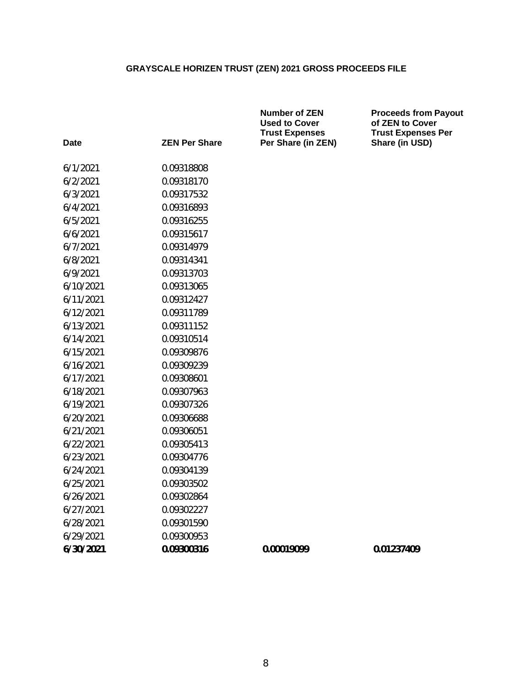|           |                      | <b>Number of ZEN</b><br><b>Used to Cover</b><br><b>Trust Expenses</b> | <b>Proceeds from Payout</b><br>of ZEN to Cover<br><b>Trust Expenses Per</b> |
|-----------|----------------------|-----------------------------------------------------------------------|-----------------------------------------------------------------------------|
| Date      | <b>ZEN Per Share</b> | Per Share (in ZEN)                                                    | Share (in USD)                                                              |
| 6/1/2021  | 0.09318808           |                                                                       |                                                                             |
| 6/2/2021  | 0.09318170           |                                                                       |                                                                             |
| 6/3/2021  | 0.09317532           |                                                                       |                                                                             |
| 6/4/2021  | 0.09316893           |                                                                       |                                                                             |
| 6/5/2021  | 0.09316255           |                                                                       |                                                                             |
| 6/6/2021  | 0.09315617           |                                                                       |                                                                             |
| 6/7/2021  | 0.09314979           |                                                                       |                                                                             |
| 6/8/2021  | 0.09314341           |                                                                       |                                                                             |
| 6/9/2021  | 0.09313703           |                                                                       |                                                                             |
| 6/10/2021 | 0.09313065           |                                                                       |                                                                             |
| 6/11/2021 | 0.09312427           |                                                                       |                                                                             |
| 6/12/2021 | 0.09311789           |                                                                       |                                                                             |
| 6/13/2021 | 0.09311152           |                                                                       |                                                                             |
| 6/14/2021 | 0.09310514           |                                                                       |                                                                             |
| 6/15/2021 | 0.09309876           |                                                                       |                                                                             |
| 6/16/2021 | 0.09309239           |                                                                       |                                                                             |
| 6/17/2021 | 0.09308601           |                                                                       |                                                                             |
| 6/18/2021 | 0.09307963           |                                                                       |                                                                             |
| 6/19/2021 | 0.09307326           |                                                                       |                                                                             |
| 6/20/2021 | 0.09306688           |                                                                       |                                                                             |
| 6/21/2021 | 0.09306051           |                                                                       |                                                                             |
| 6/22/2021 | 0.09305413           |                                                                       |                                                                             |
| 6/23/2021 | 0.09304776           |                                                                       |                                                                             |
| 6/24/2021 | 0.09304139           |                                                                       |                                                                             |
| 6/25/2021 | 0.09303502           |                                                                       |                                                                             |
| 6/26/2021 | 0.09302864           |                                                                       |                                                                             |
| 6/27/2021 | 0.09302227           |                                                                       |                                                                             |
| 6/28/2021 | 0.09301590           |                                                                       |                                                                             |
| 6/29/2021 | 0.09300953           |                                                                       |                                                                             |
| 6/30/2021 | 0.09300316           | 0.00019099                                                            | 0.01237409                                                                  |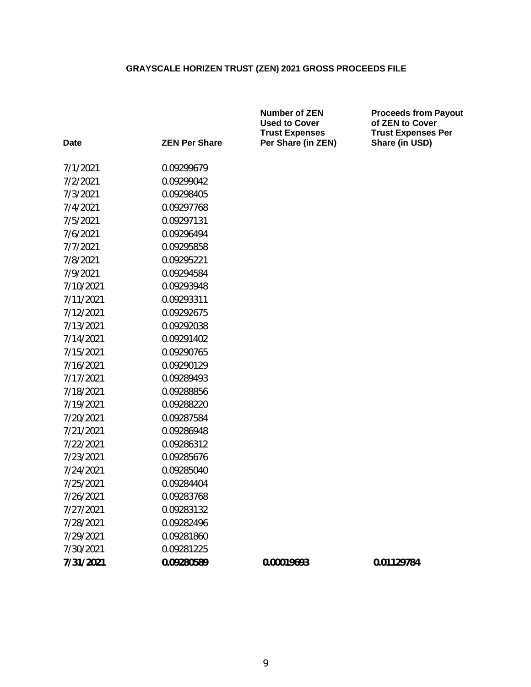|             |                      | <b>Number of ZEN</b><br><b>Used to Cover</b><br><b>Trust Expenses</b> | <b>Proceeds from Payout</b><br>of ZEN to Cover<br><b>Trust Expenses Per</b> |
|-------------|----------------------|-----------------------------------------------------------------------|-----------------------------------------------------------------------------|
| <b>Date</b> | <b>ZEN Per Share</b> | Per Share (in ZEN)                                                    | Share (in USD)                                                              |
| 7/1/2021    | 0.09299679           |                                                                       |                                                                             |
| 7/2/2021    | 0.09299042           |                                                                       |                                                                             |
| 7/3/2021    | 0.09298405           |                                                                       |                                                                             |
| 7/4/2021    | 0.09297768           |                                                                       |                                                                             |
| 7/5/2021    | 0.09297131           |                                                                       |                                                                             |
| 7/6/2021    | 0.09296494           |                                                                       |                                                                             |
| 7/7/2021    | 0.09295858           |                                                                       |                                                                             |
| 7/8/2021    | 0.09295221           |                                                                       |                                                                             |
| 7/9/2021    | 0.09294584           |                                                                       |                                                                             |
| 7/10/2021   | 0.09293948           |                                                                       |                                                                             |
| 7/11/2021   | 0.09293311           |                                                                       |                                                                             |
| 7/12/2021   | 0.09292675           |                                                                       |                                                                             |
| 7/13/2021   | 0.09292038           |                                                                       |                                                                             |
| 7/14/2021   | 0.09291402           |                                                                       |                                                                             |
| 7/15/2021   | 0.09290765           |                                                                       |                                                                             |
| 7/16/2021   | 0.09290129           |                                                                       |                                                                             |
| 7/17/2021   | 0.09289493           |                                                                       |                                                                             |
| 7/18/2021   | 0.09288856           |                                                                       |                                                                             |
| 7/19/2021   | 0.09288220           |                                                                       |                                                                             |
| 7/20/2021   | 0.09287584           |                                                                       |                                                                             |
| 7/21/2021   | 0.09286948           |                                                                       |                                                                             |
| 7/22/2021   | 0.09286312           |                                                                       |                                                                             |
| 7/23/2021   | 0.09285676           |                                                                       |                                                                             |
| 7/24/2021   | 0.09285040           |                                                                       |                                                                             |
| 7/25/2021   | 0.09284404           |                                                                       |                                                                             |
| 7/26/2021   | 0.09283768           |                                                                       |                                                                             |
| 7/27/2021   | 0.09283132           |                                                                       |                                                                             |
| 7/28/2021   | 0.09282496           |                                                                       |                                                                             |
| 7/29/2021   | 0.09281860           |                                                                       |                                                                             |
| 7/30/2021   | 0.09281225           |                                                                       |                                                                             |
| 7/31/2021   | 0.09280589           | 0.00019693                                                            | 0.01129784                                                                  |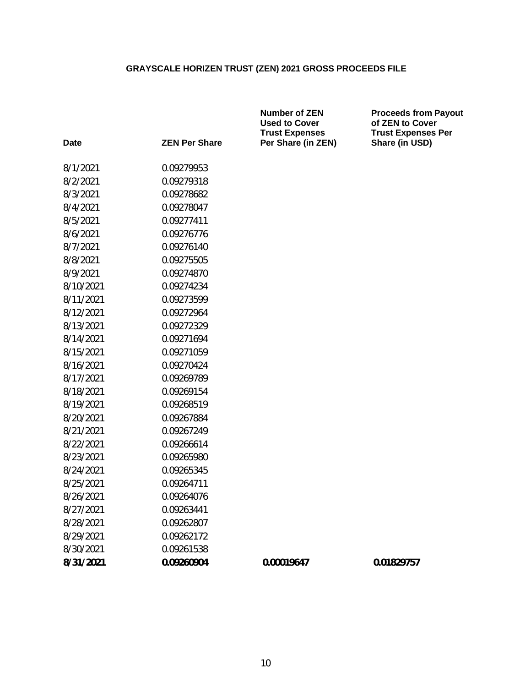| <b>Date</b> | <b>ZEN Per Share</b> | <b>Number of ZEN</b><br><b>Used to Cover</b><br><b>Trust Expenses</b><br>Per Share (in ZEN) | <b>Proceeds from Payout</b><br>of ZEN to Cover<br><b>Trust Expenses Per</b><br>Share (in USD) |
|-------------|----------------------|---------------------------------------------------------------------------------------------|-----------------------------------------------------------------------------------------------|
| 8/1/2021    | 0.09279953           |                                                                                             |                                                                                               |
| 8/2/2021    | 0.09279318           |                                                                                             |                                                                                               |
| 8/3/2021    | 0.09278682           |                                                                                             |                                                                                               |
| 8/4/2021    | 0.09278047           |                                                                                             |                                                                                               |
| 8/5/2021    | 0.09277411           |                                                                                             |                                                                                               |
| 8/6/2021    | 0.09276776           |                                                                                             |                                                                                               |
| 8/7/2021    | 0.09276140           |                                                                                             |                                                                                               |
| 8/8/2021    | 0.09275505           |                                                                                             |                                                                                               |
| 8/9/2021    | 0.09274870           |                                                                                             |                                                                                               |
| 8/10/2021   | 0.09274234           |                                                                                             |                                                                                               |
| 8/11/2021   | 0.09273599           |                                                                                             |                                                                                               |
| 8/12/2021   | 0.09272964           |                                                                                             |                                                                                               |
| 8/13/2021   | 0.09272329           |                                                                                             |                                                                                               |
| 8/14/2021   | 0.09271694           |                                                                                             |                                                                                               |
| 8/15/2021   | 0.09271059           |                                                                                             |                                                                                               |
| 8/16/2021   | 0.09270424           |                                                                                             |                                                                                               |
| 8/17/2021   | 0.09269789           |                                                                                             |                                                                                               |
| 8/18/2021   | 0.09269154           |                                                                                             |                                                                                               |
| 8/19/2021   | 0.09268519           |                                                                                             |                                                                                               |
| 8/20/2021   | 0.09267884           |                                                                                             |                                                                                               |
| 8/21/2021   | 0.09267249           |                                                                                             |                                                                                               |
| 8/22/2021   | 0.09266614           |                                                                                             |                                                                                               |
| 8/23/2021   | 0.09265980           |                                                                                             |                                                                                               |
| 8/24/2021   | 0.09265345           |                                                                                             |                                                                                               |
| 8/25/2021   | 0.09264711           |                                                                                             |                                                                                               |
| 8/26/2021   | 0.09264076           |                                                                                             |                                                                                               |
| 8/27/2021   | 0.09263441           |                                                                                             |                                                                                               |
| 8/28/2021   | 0.09262807           |                                                                                             |                                                                                               |
| 8/29/2021   | 0.09262172           |                                                                                             |                                                                                               |
| 8/30/2021   | 0.09261538           |                                                                                             |                                                                                               |
| 8/31/2021   | 0.09260904           | 0.00019647                                                                                  | 0.01829757                                                                                    |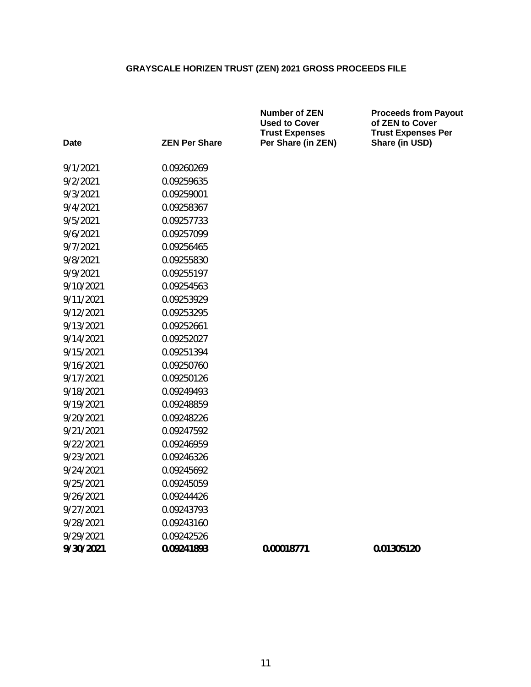|           |                      | <b>Number of ZEN</b><br><b>Used to Cover</b><br><b>Trust Expenses</b> | <b>Proceeds from Payout</b><br>of ZEN to Cover<br><b>Trust Expenses Per</b> |
|-----------|----------------------|-----------------------------------------------------------------------|-----------------------------------------------------------------------------|
| Date      | <b>ZEN Per Share</b> | Per Share (in ZEN)                                                    | Share (in USD)                                                              |
| 9/1/2021  | 0.09260269           |                                                                       |                                                                             |
| 9/2/2021  | 0.09259635           |                                                                       |                                                                             |
| 9/3/2021  | 0.09259001           |                                                                       |                                                                             |
| 9/4/2021  | 0.09258367           |                                                                       |                                                                             |
| 9/5/2021  | 0.09257733           |                                                                       |                                                                             |
| 9/6/2021  | 0.09257099           |                                                                       |                                                                             |
| 9/7/2021  | 0.09256465           |                                                                       |                                                                             |
| 9/8/2021  | 0.09255830           |                                                                       |                                                                             |
| 9/9/2021  | 0.09255197           |                                                                       |                                                                             |
| 9/10/2021 | 0.09254563           |                                                                       |                                                                             |
| 9/11/2021 | 0.09253929           |                                                                       |                                                                             |
| 9/12/2021 | 0.09253295           |                                                                       |                                                                             |
| 9/13/2021 | 0.09252661           |                                                                       |                                                                             |
| 9/14/2021 | 0.09252027           |                                                                       |                                                                             |
| 9/15/2021 | 0.09251394           |                                                                       |                                                                             |
| 9/16/2021 | 0.09250760           |                                                                       |                                                                             |
| 9/17/2021 | 0.09250126           |                                                                       |                                                                             |
| 9/18/2021 | 0.09249493           |                                                                       |                                                                             |
| 9/19/2021 | 0.09248859           |                                                                       |                                                                             |
| 9/20/2021 | 0.09248226           |                                                                       |                                                                             |
| 9/21/2021 | 0.09247592           |                                                                       |                                                                             |
| 9/22/2021 | 0.09246959           |                                                                       |                                                                             |
| 9/23/2021 | 0.09246326           |                                                                       |                                                                             |
| 9/24/2021 | 0.09245692           |                                                                       |                                                                             |
| 9/25/2021 | 0.09245059           |                                                                       |                                                                             |
| 9/26/2021 | 0.09244426           |                                                                       |                                                                             |
| 9/27/2021 | 0.09243793           |                                                                       |                                                                             |
| 9/28/2021 | 0.09243160           |                                                                       |                                                                             |
| 9/29/2021 | 0.09242526           |                                                                       |                                                                             |
| 9/30/2021 | 0.09241893           | 0.00018771                                                            | 0.01305120                                                                  |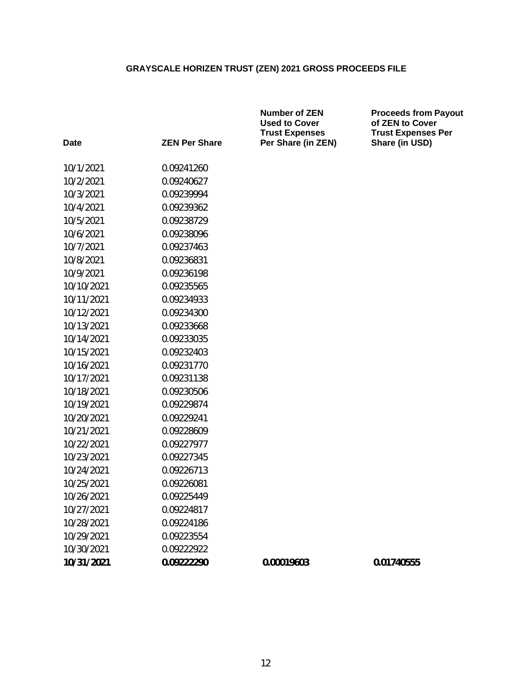**Number of ZEN**

| <b>Date</b> | <b>ZEN Per Share</b> | <b>Used to Cover</b><br><b>Trust Expenses</b><br>Per Share (in ZEN) | of ZEN to Co<br><b>Trust Expen</b><br>Share (in US |
|-------------|----------------------|---------------------------------------------------------------------|----------------------------------------------------|
|             |                      |                                                                     |                                                    |
| 10/1/2021   | 0.09241260           |                                                                     |                                                    |
| 10/2/2021   | 0.09240627           |                                                                     |                                                    |
| 10/3/2021   | 0.09239994           |                                                                     |                                                    |
| 10/4/2021   | 0.09239362           |                                                                     |                                                    |
| 10/5/2021   | 0.09238729           |                                                                     |                                                    |
| 10/6/2021   | 0.09238096           |                                                                     |                                                    |
| 10/7/2021   | 0.09237463           |                                                                     |                                                    |
| 10/8/2021   | 0.09236831           |                                                                     |                                                    |
| 10/9/2021   | 0.09236198           |                                                                     |                                                    |
| 10/10/2021  | 0.09235565           |                                                                     |                                                    |
| 10/11/2021  | 0.09234933           |                                                                     |                                                    |
| 10/12/2021  | 0.09234300           |                                                                     |                                                    |
| 10/13/2021  | 0.09233668           |                                                                     |                                                    |
| 10/14/2021  | 0.09233035           |                                                                     |                                                    |
| 10/15/2021  | 0.09232403           |                                                                     |                                                    |
| 10/16/2021  | 0.09231770           |                                                                     |                                                    |
| 10/17/2021  | 0.09231138           |                                                                     |                                                    |
| 10/18/2021  | 0.09230506           |                                                                     |                                                    |
| 10/19/2021  | 0.09229874           |                                                                     |                                                    |
| 10/20/2021  | 0.09229241           |                                                                     |                                                    |
| 10/21/2021  | 0.09228609           |                                                                     |                                                    |
| 10/22/2021  | 0.09227977           |                                                                     |                                                    |
| 10/23/2021  | 0.09227345           |                                                                     |                                                    |
| 10/24/2021  | 0.09226713           |                                                                     |                                                    |
| 10/25/2021  | 0.09226081           |                                                                     |                                                    |
| 10/26/2021  | 0.09225449           |                                                                     |                                                    |
| 10/27/2021  | 0.09224817           |                                                                     |                                                    |
| 10/28/2021  | 0.09224186           |                                                                     |                                                    |
| 10/29/2021  | 0.09223554           |                                                                     |                                                    |
| 10/30/2021  | 0.09222922           |                                                                     |                                                    |
| 10/31/2021  | 0.09222290           | 0.00019603                                                          | 0.01740555                                         |
|             |                      |                                                                     |                                                    |

**Proceeds from Payout of ZEN to Cover Trust Expenses Per Share (in USD)**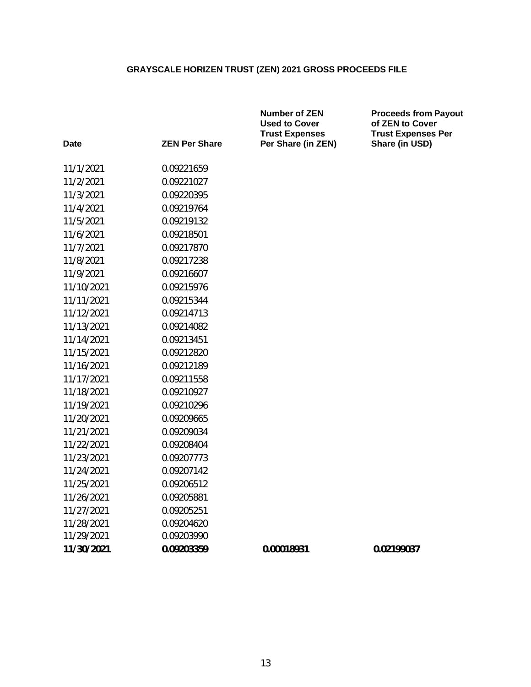**Number of ZEN**

**Proceeds from Payout**

| Date       | <b>ZEN Per Share</b> | <b>Used to Cover</b><br><b>Trust Expenses</b><br>Per Share (in ZEN) | of ZEN to Cover<br><b>Trust Expenses Per</b><br>Share (in USD) |
|------------|----------------------|---------------------------------------------------------------------|----------------------------------------------------------------|
| 11/1/2021  | 0.09221659           |                                                                     |                                                                |
| 11/2/2021  | 0.09221027           |                                                                     |                                                                |
| 11/3/2021  | 0.09220395           |                                                                     |                                                                |
| 11/4/2021  | 0.09219764           |                                                                     |                                                                |
| 11/5/2021  | 0.09219132           |                                                                     |                                                                |
| 11/6/2021  | 0.09218501           |                                                                     |                                                                |
| 11/7/2021  | 0.09217870           |                                                                     |                                                                |
| 11/8/2021  | 0.09217238           |                                                                     |                                                                |
| 11/9/2021  | 0.09216607           |                                                                     |                                                                |
| 11/10/2021 | 0.09215976           |                                                                     |                                                                |
| 11/11/2021 | 0.09215344           |                                                                     |                                                                |
| 11/12/2021 | 0.09214713           |                                                                     |                                                                |
| 11/13/2021 | 0.09214082           |                                                                     |                                                                |
| 11/14/2021 | 0.09213451           |                                                                     |                                                                |
| 11/15/2021 | 0.09212820           |                                                                     |                                                                |
| 11/16/2021 | 0.09212189           |                                                                     |                                                                |
| 11/17/2021 | 0.09211558           |                                                                     |                                                                |
| 11/18/2021 | 0.09210927           |                                                                     |                                                                |
| 11/19/2021 | 0.09210296           |                                                                     |                                                                |
| 11/20/2021 | 0.09209665           |                                                                     |                                                                |
| 11/21/2021 | 0.09209034           |                                                                     |                                                                |
| 11/22/2021 | 0.09208404           |                                                                     |                                                                |
| 11/23/2021 | 0.09207773           |                                                                     |                                                                |
| 11/24/2021 | 0.09207142           |                                                                     |                                                                |
| 11/25/2021 | 0.09206512           |                                                                     |                                                                |
| 11/26/2021 | 0.09205881           |                                                                     |                                                                |
| 11/27/2021 | 0.09205251           |                                                                     |                                                                |
| 11/28/2021 | 0.09204620           |                                                                     |                                                                |
| 11/29/2021 | 0.09203990           |                                                                     |                                                                |
| 11/30/2021 | 0.09203359           | 0.00018931                                                          | 0.02199037                                                     |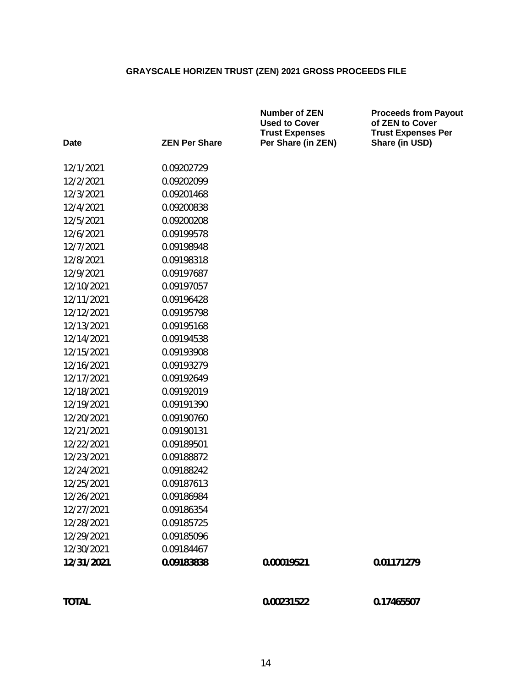| <b>Date</b> | <b>ZEN Per Share</b> | <b>Number of ZEN</b><br><b>Used to Cover</b><br><b>Trust Expenses</b><br>Per Share (in ZEN) | <b>Proceeds from Payout</b><br>of ZEN to Cover<br><b>Trust Expenses Per</b> |
|-------------|----------------------|---------------------------------------------------------------------------------------------|-----------------------------------------------------------------------------|
|             |                      |                                                                                             | Share (in USD)                                                              |
| 12/1/2021   | 0.09202729           |                                                                                             |                                                                             |
| 12/2/2021   | 0.09202099           |                                                                                             |                                                                             |
| 12/3/2021   | 0.09201468           |                                                                                             |                                                                             |
| 12/4/2021   | 0.09200838           |                                                                                             |                                                                             |
| 12/5/2021   | 0.09200208           |                                                                                             |                                                                             |
| 12/6/2021   | 0.09199578           |                                                                                             |                                                                             |
| 12/7/2021   | 0.09198948           |                                                                                             |                                                                             |
| 12/8/2021   | 0.09198318           |                                                                                             |                                                                             |
| 12/9/2021   | 0.09197687           |                                                                                             |                                                                             |
| 12/10/2021  | 0.09197057           |                                                                                             |                                                                             |
| 12/11/2021  | 0.09196428           |                                                                                             |                                                                             |
| 12/12/2021  | 0.09195798           |                                                                                             |                                                                             |
| 12/13/2021  | 0.09195168           |                                                                                             |                                                                             |
| 12/14/2021  | 0.09194538           |                                                                                             |                                                                             |
| 12/15/2021  | 0.09193908           |                                                                                             |                                                                             |
| 12/16/2021  | 0.09193279           |                                                                                             |                                                                             |
| 12/17/2021  | 0.09192649           |                                                                                             |                                                                             |
| 12/18/2021  | 0.09192019           |                                                                                             |                                                                             |
| 12/19/2021  | 0.09191390           |                                                                                             |                                                                             |
| 12/20/2021  | 0.09190760           |                                                                                             |                                                                             |
| 12/21/2021  | 0.09190131           |                                                                                             |                                                                             |
| 12/22/2021  | 0.09189501           |                                                                                             |                                                                             |
| 12/23/2021  | 0.09188872           |                                                                                             |                                                                             |
| 12/24/2021  | 0.09188242           |                                                                                             |                                                                             |
| 12/25/2021  | 0.09187613           |                                                                                             |                                                                             |
| 12/26/2021  | 0.09186984           |                                                                                             |                                                                             |
| 12/27/2021  | 0.09186354           |                                                                                             |                                                                             |
| 12/28/2021  | 0.09185725           |                                                                                             |                                                                             |
| 12/29/2021  | 0.09185096           |                                                                                             |                                                                             |
| 12/30/2021  | 0.09184467           |                                                                                             |                                                                             |
| 12/31/2021  | 0.09183838           | 0.00019521                                                                                  | 0.01171279                                                                  |
|             |                      |                                                                                             |                                                                             |

**TOTAL 0.00231522 0.17465507**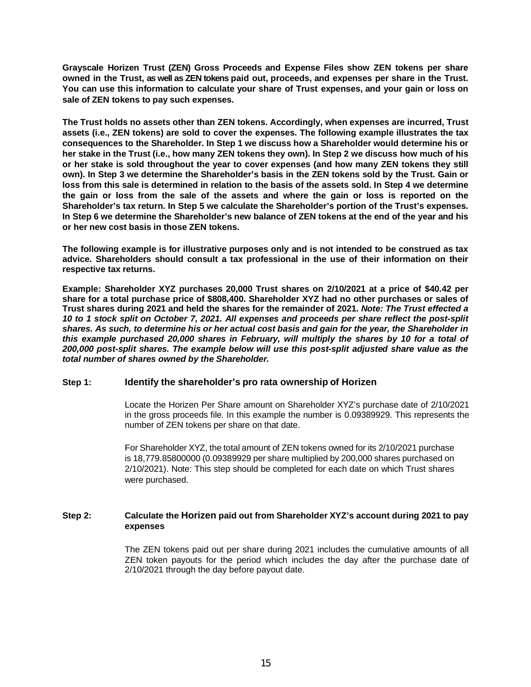**Grayscale Horizen Trust (ZEN) Gross Proceeds and Expense Files show ZEN tokens per share owned in the Trust, as well as ZEN tokens paid out, proceeds, and expenses per share in the Trust. You can use this information to calculate your share of Trust expenses, and your gain or loss on sale of ZEN tokens to pay such expenses.**

**The Trust holds no assets other than ZEN tokens. Accordingly, when expenses are incurred, Trust assets (i.e., ZEN tokens) are sold to cover the expenses. The following example illustrates the tax consequences to the Shareholder. In Step 1 we discuss how a Shareholder would determine his or her stake in the Trust (i.e., how many ZEN tokens they own). In Step 2 we discuss how much of his or her stake is sold throughout the year to cover expenses (and how many ZEN tokens they still own). In Step 3 we determine the Shareholder's basis in the ZEN tokens sold by the Trust. Gain or loss from this sale is determined in relation to the basis of the assets sold. In Step 4 we determine the gain or loss from the sale of the assets and where the gain or loss is reported on the Shareholder's tax return. In Step 5 we calculate the Shareholder's portion of the Trust's expenses. In Step 6 we determine the Shareholder's new balance of ZEN tokens at the end of the year and his or her new cost basis in those ZEN tokens.**

**The following example is for illustrative purposes only and is not intended to be construed as tax advice. Shareholders should consult a tax professional in the use of their information on their respective tax returns.**

**Example: Shareholder XYZ purchases 20,000 Trust shares on 2/10/2021 at a price of \$40.42 per share for a total purchase price of \$808,400. Shareholder XYZ had no other purchases or sales of Trust shares during 2021 and held the shares for the remainder of 2021.** *Note: The Trust effected a 10 to 1 stock split on October 7, 2021. All expenses and proceeds per share reflect the post-split shares. As such, to determine his or her actual cost basis and gain for the year, the Shareholder in this example purchased 20,000 shares in February, will multiply the shares by 10 for a total of 200,000 post-split shares. The example below will use this post-split adjusted share value as the total number of shares owned by the Shareholder.*

### **Step 1: Identify the shareholder's pro rata ownership of Horizen**

Locate the Horizen Per Share amount on Shareholder XYZ's purchase date of 2/10/2021 in the gross proceeds file. In this example the number is 0.09389929. This represents the number of ZEN tokens per share on that date.

For Shareholder XYZ, the total amount of ZEN tokens owned for its 2/10/2021 purchase is 18,779.85800000 (0.09389929 per share multiplied by 200,000 shares purchased on 2/10/2021). Note: This step should be completed for each date on which Trust shares were purchased.

### **Step 2: Calculate the Horizen paid out from Shareholder XYZ's account during 2021 to pay expenses**

The ZEN tokens paid out per share during 2021 includes the cumulative amounts of all ZEN token payouts for the period which includes the day after the purchase date of 2/10/2021 through the day before payout date.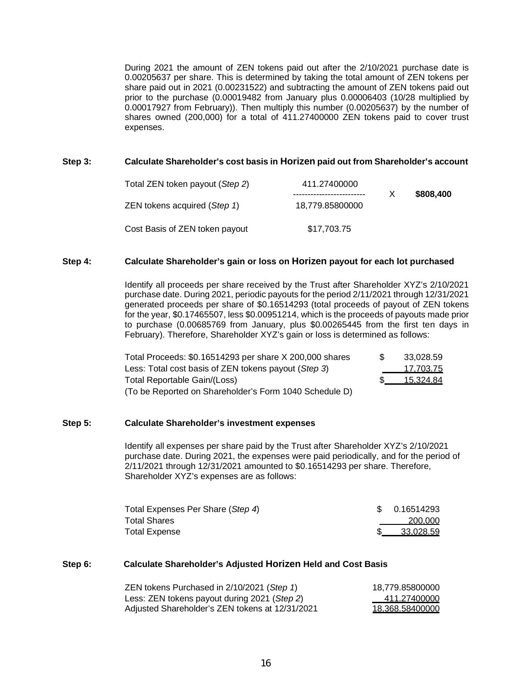During 2021 the amount of ZEN tokens paid out after the 2/10/2021 purchase date is 0.00205637 per share. This is determined by taking the total amount of ZEN tokens per share paid out in 2021 (0.00231522) and subtracting the amount of ZEN tokens paid out prior to the purchase (0.00019482 from January plus 0.00006403 (10/28 multiplied by 0.00017927 from February)). Then multiply this number (0.00205637) by the number of shares owned (200,000) for a total of 411.27400000 ZEN tokens paid to cover trust expenses.

#### **Step 3: Calculate Shareholder's cost basis in Horizen paid out from Shareholder's account**

| Total ZEN token payout (Step 2) | 411.27400000    |           |
|---------------------------------|-----------------|-----------|
| ZEN tokens acquired (Step 1)    | 18,779.85800000 | \$808,400 |
| Cost Basis of ZEN token payout  | \$17,703.75     |           |

#### **Step 4: Calculate Shareholder's gain or loss on Horizen payout for each lot purchased**

Identify all proceeds per share received by the Trust after Shareholder XYZ's 2/10/2021 purchase date. During 2021, periodic payouts for the period 2/11/2021 through 12/31/2021 generated proceeds per share of \$0.16514293 (total proceeds of payout of ZEN tokens for the year, \$0.17465507, less \$0.00951214, which is the proceeds of payouts made prior to purchase (0.00685769 from January, plus \$0.00265445 from the first ten days in February). Therefore, Shareholder XYZ's gain or loss is determined as follows:

| Total Proceeds: \$0.16514293 per share X 200,000 shares | 33.028.59 |
|---------------------------------------------------------|-----------|
| Less: Total cost basis of ZEN tokens payout (Step 3)    | 17,703.75 |
| Total Reportable Gain/(Loss)                            | 15.324.84 |
| (To be Reported on Shareholder's Form 1040 Schedule D)  |           |

#### **Step 5: Calculate Shareholder's investment expenses**

Identify all expenses per share paid by the Trust after Shareholder XYZ's 2/10/2021 purchase date. During 2021, the expenses were paid periodically, and for the period of 2/11/2021 through 12/31/2021 amounted to \$0.16514293 per share. Therefore, Shareholder XYZ's expenses are as follows:

| Total Expenses Per Share (Step 4) | \$ 0.16514293 |
|-----------------------------------|---------------|
| Total Shares                      | 200.000       |
| Total Expense                     | 33.028.59     |

#### **Step 6: Calculate Shareholder's Adjusted Horizen Held and Cost Basis**

| ZEN tokens Purchased in 2/10/2021 (Step 1)      | 18.779.85800000 |
|-------------------------------------------------|-----------------|
| Less: ZEN tokens payout during 2021 (Step 2)    | 411.27400000    |
| Adjusted Shareholder's ZEN tokens at 12/31/2021 | 18.368.58400000 |